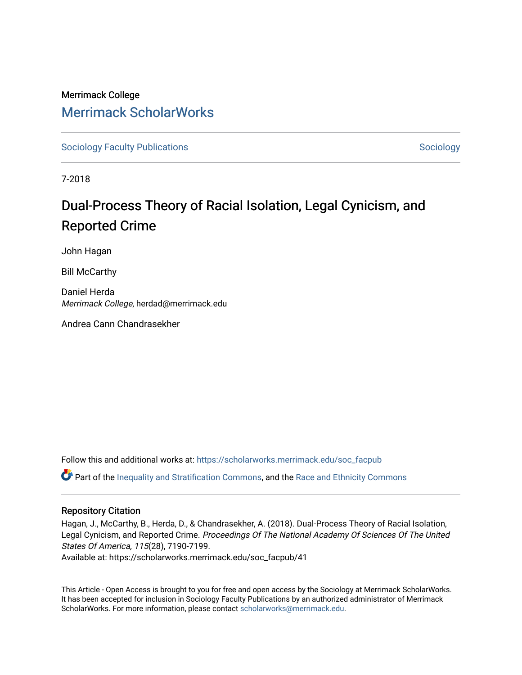# Merrimack College [Merrimack ScholarWorks](https://scholarworks.merrimack.edu/)

[Sociology Faculty Publications](https://scholarworks.merrimack.edu/soc_facpub) and [Sociology](https://scholarworks.merrimack.edu/soc) Sociology Sociology

7-2018

# Dual-Process Theory of Racial Isolation, Legal Cynicism, and Reported Crime

John Hagan

Bill McCarthy

Daniel Herda Merrimack College, herdad@merrimack.edu

Andrea Cann Chandrasekher

Follow this and additional works at: [https://scholarworks.merrimack.edu/soc\\_facpub](https://scholarworks.merrimack.edu/soc_facpub?utm_source=scholarworks.merrimack.edu%2Fsoc_facpub%2F41&utm_medium=PDF&utm_campaign=PDFCoverPages)  Part of the [Inequality and Stratification Commons](http://network.bepress.com/hgg/discipline/421?utm_source=scholarworks.merrimack.edu%2Fsoc_facpub%2F41&utm_medium=PDF&utm_campaign=PDFCoverPages), and the [Race and Ethnicity Commons](http://network.bepress.com/hgg/discipline/426?utm_source=scholarworks.merrimack.edu%2Fsoc_facpub%2F41&utm_medium=PDF&utm_campaign=PDFCoverPages)

## Repository Citation

Hagan, J., McCarthy, B., Herda, D., & Chandrasekher, A. (2018). Dual-Process Theory of Racial Isolation, Legal Cynicism, and Reported Crime. Proceedings Of The National Academy Of Sciences Of The United States Of America, 115(28), 7190-7199.

Available at: https://scholarworks.merrimack.edu/soc\_facpub/41

This Article - Open Access is brought to you for free and open access by the Sociology at Merrimack ScholarWorks. It has been accepted for inclusion in Sociology Faculty Publications by an authorized administrator of Merrimack ScholarWorks. For more information, please contact [scholarworks@merrimack.edu.](mailto:scholarworks@merrimack.edu)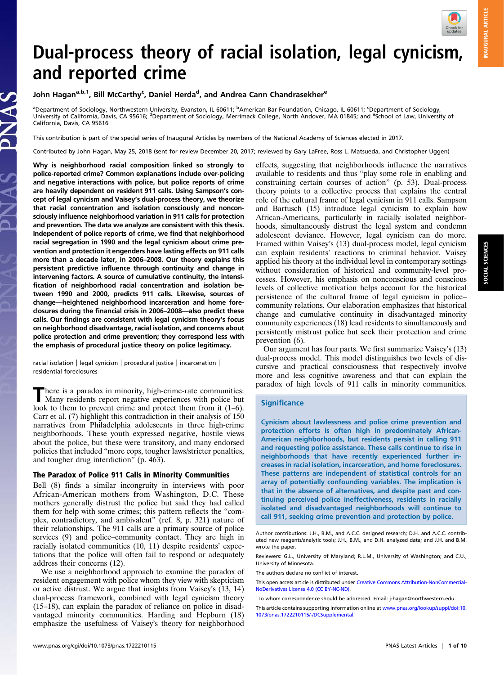# Dual-process theory of racial isolation, legal cynicism, and reported crime

### John Hagan<sup>a,b,1</sup>, Bill McCarthy<sup>c</sup>, Daniel Herda<sup>d</sup>, and Andrea Cann Chandrasekher<sup>e</sup>

<sup>a</sup>Department of Sociology, Northwestern University, Evanston, IL 60611; <sup>b</sup>American Bar Foundation, Chicago, IL 60611; <sup>c</sup>Department of Sociology,<br>University of California, Davis, CA 95616; <sup>d</sup>Department of Sociology, Mer California, Davis, CA 95616

This contribution is part of the special series of Inaugural Articles by members of the National Academy of Sciences elected in 2017.

Contributed by John Hagan, May 25, 2018 (sent for review December 20, 2017; reviewed by Gary LaFree, Ross L. Matsueda, and Christopher Uggen)

Why is neighborhood racial composition linked so strongly to police-reported crime? Common explanations include over-policing and negative interactions with police, but police reports of crime are heavily dependent on resident 911 calls. Using Sampson's concept of legal cynicism and Vaisey's dual-process theory, we theorize that racial concentration and isolation consciously and nonconsciously influence neighborhood variation in 911 calls for protection and prevention. The data we analyze are consistent with this thesis. Independent of police reports of crime, we find that neighborhood racial segregation in 1990 and the legal cynicism about crime prevention and protection it engenders have lasting effects on 911 calls more than a decade later, in 2006–2008. Our theory explains this persistent predictive influence through continuity and change in intervening factors. A source of cumulative continuity, the intensification of neighborhood racial concentration and isolation between 1990 and 2000, predicts 911 calls. Likewise, sources of change—heightened neighborhood incarceration and home foreclosures during the financial crisis in 2006–2008—also predict these calls. Our findings are consistent with legal cynicism theory's focus on neighborhood disadvantage, racial isolation, and concerns about police protection and crime prevention; they correspond less with the emphasis of procedural justice theory on police legitimacy.

racial isolation | legal cynicism | procedural justice | incarceration | residential foreclosures

There is a paradox in minority, high-crime-rate communities:<br>Many residents report negative experiences with police but look to them to prevent crime and protect them from it (1–6). Carr et al. (7) highlight this contradiction in their analysis of 150 narratives from Philadelphia adolescents in three high-crime neighborhoods. These youth expressed negative, hostile views about the police, but these were transitory, and many endorsed policies that included "more cops, tougher laws/stricter penalties, and tougher drug interdiction" (p. 463).

#### The Paradox of Police 911 Calls in Minority Communities

Bell (8) finds a similar incongruity in interviews with poor African-American mothers from Washington, D.C. These mothers generally distrust the police but said they had called them for help with some crimes; this pattern reflects the "complex, contradictory, and ambivalent" (ref. 8, p. 321) nature of their relationships. The 911 calls are a primary source of police services (9) and police–community contact. They are high in racially isolated communities (10, 11) despite residents' expectations that the police will often fail to respond or adequately address their concerns (12).

We use a neighborhood approach to examine the paradox of resident engagement with police whom they view with skepticism or active distrust. We argue that insights from Vaisey's (13, 14) dual-process framework, combined with legal cynicism theory (15–18), can explain the paradox of reliance on police in disadvantaged minority communities. Harding and Hepburn (18) emphasize the usefulness of Vaisey's theory for neighborhood

effects, suggesting that neighborhoods influence the narratives available to residents and thus "play some role in enabling and constraining certain courses of action" (p. 53). Dual-process theory points to a collective process that explains the central role of the cultural frame of legal cynicism in 911 calls. Sampson and Bartusch (15) introduce legal cynicism to explain how African-Americans, particularly in racially isolated neighborhoods, simultaneously distrust the legal system and condemn adolescent deviance. However, legal cynicism can do more. Framed within Vaisey's (13) dual-process model, legal cynicism can explain residents' reactions to criminal behavior. Vaisey applied his theory at the individual level in contemporary settings without consideration of historical and community-level processes. However, his emphasis on nonconscious and conscious levels of collective motivation helps account for the historical persistence of the cultural frame of legal cynicism in police– community relations. Our elaboration emphasizes that historical change and cumulative continuity in disadvantaged minority community experiences (18) lead residents to simultaneously and persistently mistrust police but seek their protection and crime prevention (6).

Our argument has four parts. We first summarize Vaisey's (13) dual-process model. This model distinguishes two levels of discursive and practical consciousness that respectively involve more and less cognitive awareness and that can explain the paradox of high levels of 911 calls in minority communities.

#### **Significance**

Cynicism about lawlessness and police crime prevention and protection efforts is often high in predominately African-American neighborhoods, but residents persist in calling 911 and requesting police assistance. These calls continue to rise in neighborhoods that have recently experienced further increases in racial isolation, incarceration, and home foreclosures. These patterns are independent of statistical controls for an array of potentially confounding variables. The implication is that in the absence of alternatives, and despite past and continuing perceived police ineffectiveness, residents in racially isolated and disadvantaged neighborhoods will continue to call 911, seeking crime prevention and protection by police.

Reviewers: G.L., University of Maryland; R.L.M., University of Washington; and C.U., University of Minnesota.

The authors declare no conflict of interest.

This open access article is distributed under [Creative Commons Attribution-NonCommercial-](https://creativecommons.org/licenses/by-nc-nd/4.0/)[NoDerivatives License 4.0 \(CC BY-NC-ND\).](https://creativecommons.org/licenses/by-nc-nd/4.0/)

1 To whom correspondence should be addressed. Email: [j-hagan@northwestern.edu](mailto:j-hagan@northwestern.edu).

This article contains supporting information online at [www.pnas.org/lookup/suppl/doi:10.](http://www.pnas.org/lookup/suppl/doi:10.1073/pnas.1722210115/-/DCSupplemental) [1073/pnas.1722210115/-/DCSupplemental](http://www.pnas.org/lookup/suppl/doi:10.1073/pnas.1722210115/-/DCSupplemental).

Author contributions: J.H., B.M., and A.C.C. designed research; D.H. and A.C.C. contributed new reagents/analytic tools; J.H., B.M., and D.H. analyzed data; and J.H. and B.M. wrote the paper.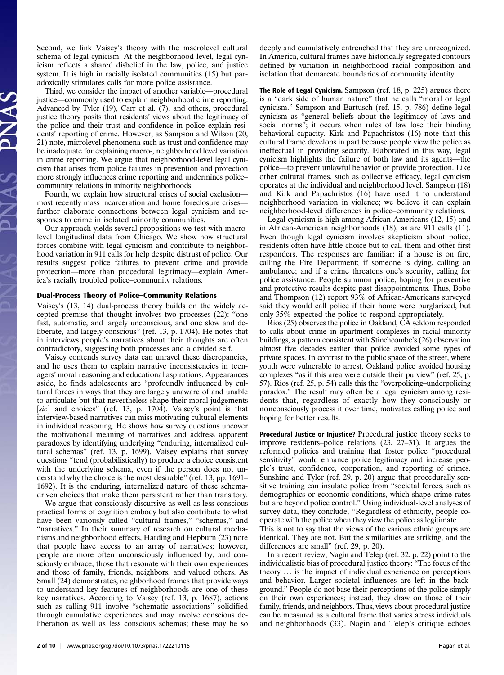Second, we link Vaisey's theory with the macrolevel cultural schema of legal cynicism. At the neighborhood level, legal cynicism reflects a shared disbelief in the law, police, and justice system. It is high in racially isolated communities (15) but paradoxically stimulates calls for more police assistance.

Third, we consider the impact of another variable—procedural justice—commonly used to explain neighborhood crime reporting. Advanced by Tyler (19), Carr et al. (7), and others, procedural justice theory posits that residents' views about the legitimacy of the police and their trust and confidence in police explain residents' reporting of crime. However, as Sampson and Wilson (20, 21) note, microlevel phenomena such as trust and confidence may be inadequate for explaining macro-, neighborhood level variation in crime reporting. We argue that neighborhood-level legal cynicism that arises from police failures in prevention and protection more strongly influences crime reporting and undermines police– community relations in minority neighborhoods.

Fourth, we explain how structural crises of social exclusion most recently mass incarceration and home foreclosure crises further elaborate connections between legal cynicism and responses to crime in isolated minority communities.

Our approach yields several propositions we test with macrolevel longitudinal data from Chicago. We show how structural forces combine with legal cynicism and contribute to neighborhood variation in 911 calls for help despite distrust of police. Our results suggest police failures to prevent crime and provide protection—more than procedural legitimacy—explain America's racially troubled police–community relations.

#### Dual-Process Theory of Police–Community Relations

Vaisey's (13, 14) dual-process theory builds on the widely accepted premise that thought involves two processes (22): "one fast, automatic, and largely unconscious, and one slow and deliberate, and largely conscious" (ref. 13, p. 1704). He notes that in interviews people's narratives about their thoughts are often contradictory, suggesting both processes and a divided self.

Vaisey contends survey data can unravel these discrepancies, and he uses them to explain narrative inconsistencies in teenagers' moral reasoning and educational aspirations. Appearances aside, he finds adolescents are "profoundly influenced by cultural forces in ways that they are largely unaware of and unable to articulate but that nevertheless shape their moral judgements [sic] and choices" (ref. 13, p. 1704). Vaisey's point is that interview-based narratives can miss motivating cultural elements in individual reasoning. He shows how survey questions uncover the motivational meaning of narratives and address apparent paradoxes by identifying underlying "enduring, internalized cultural schemas" (ref. 13, p. 1699). Vaisey explains that survey questions "tend (probabilistically) to produce a choice consistent with the underlying schema, even if the person does not understand why the choice is the most desirable" (ref. 13, pp. 1691– 1692). It is the enduring, internalized nature of these schemadriven choices that make them persistent rather than transitory.

We argue that consciously discursive as well as less conscious practical forms of cognition embody but also contribute to what have been variously called "cultural frames," "schemas," and "narratives." In their summary of research on cultural mechanisms and neighborhood effects, Harding and Hepburn (23) note that people have access to an array of narratives; however, people are more often unconsciously influenced by, and consciously embrace, those that resonate with their own experiences and those of family, friends, neighbors, and valued others. As Small (24) demonstrates, neighborhood frames that provide ways to understand key features of neighborhoods are one of these key narratives. According to Vaisey (ref. 13, p. 1687), actions such as calling 911 involve "schematic associations" solidified through cumulative experiences and may involve conscious deliberation as well as less conscious schemas; these may be so

deeply and cumulatively entrenched that they are unrecognized. In America, cultural frames have historically segregated contours defined by variation in neighborhood racial composition and isolation that demarcate boundaries of community identity.

The Role of Legal Cynicism. Sampson (ref. 18, p. 225) argues there is a "dark side of human nature" that he calls "moral or legal cynicism." Sampson and Bartusch (ref. 15, p. 786) define legal cynicism as "general beliefs about the legitimacy of laws and social norms"; it occurs when rules of law lose their binding behavioral capacity. Kirk and Papachristos (16) note that this cultural frame develops in part because people view the police as ineffectual in providing security. Elaborated in this way, legal cynicism highlights the failure of both law and its agents—the police—to prevent unlawful behavior or provide protection. Like other cultural frames, such as collective efficacy, legal cynicism operates at the individual and neighborhood level. Sampson (18) and Kirk and Papachristos (16) have used it to understand neighborhood variation in violence; we believe it can explain neighborhood-level differences in police–community relations.

Legal cynicism is high among African-Americans (12, 15) and in African-American neighborhoods (18), as are 911 calls (11). Even though legal cynicism involves skepticism about police, residents often have little choice but to call them and other first responders. The responses are familiar: if a house is on fire, calling the Fire Department; if someone is dying, calling an ambulance; and if a crime threatens one's security, calling for police assistance. People summon police, hoping for preventive and protective results despite past disappointments. Thus, Bobo and Thompson (12) report 93% of African-Americans surveyed said they would call police if their home were burglarized, but only 35% expected the police to respond appropriately.

Rios (25) observes the police in Oakland, CA seldom responded to calls about crime in apartment complexes in racial minority buildings, a pattern consistent with Stinchcombe's (26) observation almost five decades earlier that police avoided some types of private spaces. In contrast to the public space of the street, where youth were vulnerable to arrest, Oakland police avoided housing complexes "as if this area were outside their purview" (ref. 25, p. 57). Rios (ref. 25, p. 54) calls this the "overpolicing–underpolicing paradox." The result may often be a legal cynicism among residents that, regardless of exactly how they consciously or nonconsciously process it over time, motivates calling police and hoping for better results.

Procedural Justice or Injustice? Procedural justice theory seeks to improve residents–police relations (23, 27–31). It argues the reformed policies and training that foster police "procedural sensitivity" would enhance police legitimacy and increase people's trust, confidence, cooperation, and reporting of crimes. Sunshine and Tyler (ref. 29, p. 20) argue that procedurally sensitive training can insulate police from "societal forces, such as demographics or economic conditions, which shape crime rates but are beyond police control." Using individual-level analyses of survey data, they conclude, "Regardless of ethnicity, people cooperate with the police when they view the police as legitimate ... . This is not to say that the views of the various ethnic groups are identical. They are not. But the similarities are striking, and the differences are small" (ref. 29, p. 20).

In a recent review, Nagin and Telep (ref. 32, p. 22) point to the individualistic bias of procedural justice theory: "The focus of the theory ... is the impact of individual experience on perceptions and behavior. Larger societal influences are left in the background." People do not base their perceptions of the police simply on their own experiences; instead, they draw on those of their family, friends, and neighbors. Thus, views about procedural justice can be measured as a cultural frame that varies across individuals and neighborhoods (33). Nagin and Telep's critique echoes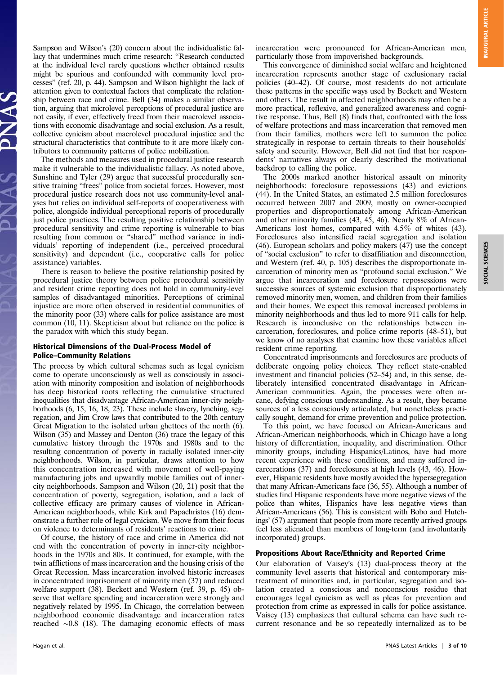Sampson and Wilson's (20) concern about the individualistic fallacy that undermines much crime research: "Research conducted at the individual level rarely questions whether obtained results might be spurious and confounded with community level processes" (ref. 20, p. 44). Sampson and Wilson highlight the lack of attention given to contextual factors that complicate the relationship between race and crime. Bell (34) makes a similar observation, arguing that microlevel perceptions of procedural justice are not easily, if ever, effectively freed from their macrolevel associations with economic disadvantage and social exclusion. As a result, collective cynicism about macrolevel procedural injustice and the structural characteristics that contribute to it are more likely contributors to community patterns of police mobilization.

The methods and measures used in procedural justice research make it vulnerable to the individualistic fallacy. As noted above, Sunshine and Tyler (29) argue that successful procedurally sensitive training "frees" police from societal forces. However, most procedural justice research does not use community-level analyses but relies on individual self-reports of cooperativeness with police, alongside individual perceptional reports of procedurally just police practices. The resulting positive relationship between procedural sensitivity and crime reporting is vulnerable to bias resulting from common or "shared" method variance in individuals' reporting of independent (i.e., perceived procedural sensitivity) and dependent (i.e., cooperative calls for police assistance) variables.

There is reason to believe the positive relationship posited by procedural justice theory between police procedural sensitivity and resident crime reporting does not hold in community-level samples of disadvantaged minorities. Perceptions of criminal injustice are more often observed in residential communities of the minority poor (33) where calls for police assistance are most common (10, 11). Skepticism about but reliance on the police is the paradox with which this study began.

#### Historical Dimensions of the Dual-Process Model of Police–Community Relations

The process by which cultural schemas such as legal cynicism come to operate unconsciously as well as consciously in association with minority composition and isolation of neighborhoods has deep historical roots reflecting the cumulative structured inequalities that disadvantage African-American inner-city neighborhoods (6, 15, 16, 18, 23). These include slavery, lynching, segregation, and Jim Crow laws that contributed to the 20th century Great Migration to the isolated urban ghettoes of the north (6). Wilson (35) and Massey and Denton (36) trace the legacy of this cumulative history through the 1970s and 1980s and to the resulting concentration of poverty in racially isolated inner-city neighborhoods. Wilson, in particular, draws attention to how this concentration increased with movement of well-paying manufacturing jobs and upwardly mobile families out of innercity neighborhoods. Sampson and Wilson (20, 21) posit that the concentration of poverty, segregation, isolation, and a lack of collective efficacy are primary causes of violence in African-American neighborhoods, while Kirk and Papachristos (16) demonstrate a further role of legal cynicism. We move from their focus on violence to determinants of residents' reactions to crime.

Of course, the history of race and crime in America did not end with the concentration of poverty in inner-city neighborhoods in the 1970s and 80s. It continued, for example, with the twin afflictions of mass incarceration and the housing crisis of the Great Recession. Mass incarceration involved historic increases in concentrated imprisonment of minority men (37) and reduced welfare support (38). Beckett and Western (ref. 39, p. 45) observe that welfare spending and incarceration were strongly and negatively related by 1995. In Chicago, the correlation between neighborhood economic disadvantage and incarceration rates reached ∼0.8 (18). The damaging economic effects of mass incarceration were pronounced for African-American men, particularly those from impoverished backgrounds.

This convergence of diminished social welfare and heightened incarceration represents another stage of exclusionary racial policies (40–42). Of course, most residents do not articulate these patterns in the specific ways used by Beckett and Western and others. The result in affected neighborhoods may often be a more practical, reflexive, and generalized awareness and cognitive response. Thus, Bell (8) finds that, confronted with the loss of welfare protections and mass incarceration that removed men from their families, mothers were left to summon the police strategically in response to certain threats to their households' safety and security. However, Bell did not find that her respondents' narratives always or clearly described the motivational backdrop to calling the police.

The 2000s marked another historical assault on minority neighborhoods: foreclosure repossessions (43) and evictions (44). In the United States, an estimated 2.5 million foreclosures occurred between 2007 and 2009, mostly on owner-occupied properties and disproportionately among African-American and other minority families (43, 45, 46). Nearly 8% of African-Americans lost homes, compared with 4.5% of whites (43). Foreclosures also intensified racial segregation and isolation (46). European scholars and policy makers (47) use the concept of "social exclusion" to refer to disaffiliation and disconnection, and Western (ref. 40, p. 105) describes the disproportionate incarceration of minority men as "profound social exclusion." We argue that incarceration and foreclosure repossessions were successive sources of systemic exclusion that disproportionately removed minority men, women, and children from their families and their homes. We expect this removal increased problems in minority neighborhoods and thus led to more 911 calls for help. Research is inconclusive on the relationships between incarceration, foreclosures, and police crime reports (48–51), but we know of no analyses that examine how these variables affect resident crime reporting.

Concentrated imprisonments and foreclosures are products of deliberate ongoing policy choices. They reflect state-enabled investment and financial policies (52–54) and, in this sense, deliberately intensified concentrated disadvantage in African-American communities. Again, the processes were often arcane, defying conscious understanding. As a result, they became sources of a less consciously articulated, but nonetheless practically sought, demand for crime prevention and police protection.

To this point, we have focused on African-Americans and African-American neighborhoods, which in Chicago have a long history of differentiation, inequality, and discrimination. Other minority groups, including Hispanics/Latinos, have had more recent experience with these conditions, and many suffered incarcerations (37) and foreclosures at high levels (43, 46). However, Hispanic residents have mostly avoided the hypersegregation that many African-Americans face (36, 55). Although a number of studies find Hispanic respondents have more negative views of the police than whites, Hispanics have less negative views than African-Americans (56). This is consistent with Bobo and Hutchings' (57) argument that people from more recently arrived groups feel less alienated than members of long-term (and involuntarily incorporated) groups.

### Propositions About Race/Ethnicity and Reported Crime

Our elaboration of Vaisey's (13) dual-process theory at the community level asserts that historical and contemporary mistreatment of minorities and, in particular, segregation and isolation created a conscious and nonconscious residue that encourages legal cynicism as well as pleas for prevention and protection from crime as expressed in calls for police assistance. Vaisey (13) emphasizes that cultural schema can have such recurrent resonance and be so repeatedly internalized as to be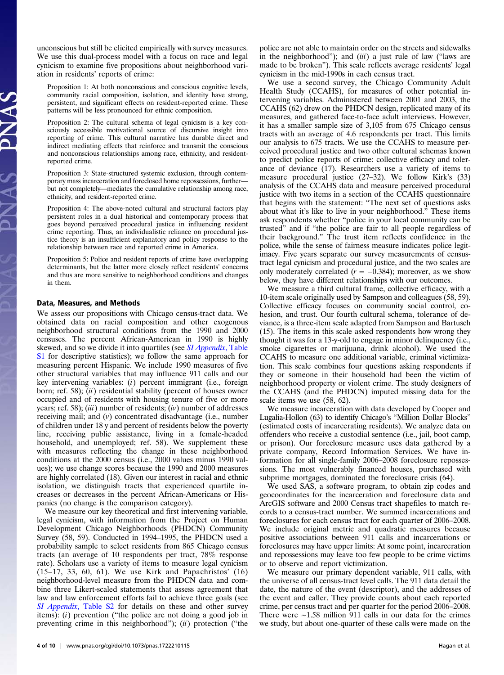unconscious but still be elicited empirically with survey measures. We use this dual-process model with a focus on race and legal cynicism to examine five propositions about neighborhood variation in residents' reports of crime:

Proposition 1: At both nonconscious and conscious cognitive levels, community racial composition, isolation, and identity have strong, persistent, and significant effects on resident-reported crime. These patterns will be less pronounced for ethnic composition.

Proposition 2: The cultural schema of legal cynicism is a key consciously accessible motivational source of discursive insight into reporting of crime. This cultural narrative has durable direct and indirect mediating effects that reinforce and transmit the conscious and nonconscious relationships among race, ethnicity, and residentreported crime.

Proposition 3: State-structured systemic exclusion, through contemporary mass incarceration and foreclosed home repossessions, further but not completely—mediates the cumulative relationship among race, ethnicity, and resident-reported crime.

Proposition 4: The above-noted cultural and structural factors play persistent roles in a dual historical and contemporary process that goes beyond perceived procedural justice in influencing resident crime reporting. Thus, an individualistic reliance on procedural justice theory is an insufficient explanatory and policy response to the relationship between race and reported crime in America.

Proposition 5: Police and resident reports of crime have overlapping determinants, but the latter more closely reflect residents' concerns and thus are more sensitive to neighborhood conditions and changes in them.

#### Data, Measures, and Methods

We assess our propositions with Chicago census-tract data. We obtained data on racial composition and other exogenous neighborhood structural conditions from the 1990 and 2000 censuses. The percent African-American in 1990 is highly skewed, and so we divide it into quartiles (see *[SI Appendix](http://www.pnas.org/lookup/suppl/doi:10.1073/pnas.1722210115/-/DCSupplemental)*, Table [S1](http://www.pnas.org/lookup/suppl/doi:10.1073/pnas.1722210115/-/DCSupplemental) for descriptive statistics); we follow the same approach for measuring percent Hispanic. We include 1990 measures of five other structural variables that may influence 911 calls and our key intervening variables: (i) percent immigrant (i.e., foreign born; ref. 58); (ii) residential stability (percent of houses owner occupied and of residents with housing tenure of five or more years; ref. 58); (*iii*) number of residents; (*iv*) number of addresses receiving mail; and (v) concentrated disadvantage (i.e., number of children under 18 y and percent of residents below the poverty line, receiving public assistance, living in a female-headed household, and unemployed; ref. 58). We supplement these with measures reflecting the change in these neighborhood conditions at the 2000 census (i.e., 2000 values minus 1990 values); we use change scores because the 1990 and 2000 measures are highly correlated (18). Given our interest in racial and ethnic isolation, we distinguish tracts that experienced quartile increases or decreases in the percent African-Americans or Hispanics (no change is the comparison category).

We measure our key theoretical and first intervening variable, legal cynicism, with information from the Project on Human Development Chicago Neighborhoods (PHDCN) Community Survey (58, 59). Conducted in 1994–1995, the PHDCN used a probability sample to select residents from 865 Chicago census tracts (an average of 10 respondents per tract, 78% response rate). Scholars use a variety of items to measure legal cynicism (15–17, 33, 60, 61). We use Kirk and Papachristos' (16) neighborhood-level measure from the PHDCN data and combine three Likert-scaled statements that assess agreement that law and law enforcement efforts fail to achieve three goals (see SI Appendix[, Table S2](http://www.pnas.org/lookup/suppl/doi:10.1073/pnas.1722210115/-/DCSupplemental) for details on these and other survey items):  $(i)$  prevention ("the police are not doing a good job in preventing crime in this neighborhood"); (ii) protection ("the

police are not able to maintain order on the streets and sidewalks in the neighborhood"); and  $(iii)$  a just rule of law ("laws are made to be broken"). This scale reflects average residents' legal cynicism in the mid-1990s in each census tract.

We use a second survey, the Chicago Community Adult Health Study (CCAHS), for measures of other potential intervening variables. Administered between 2001 and 2003, the CCAHS (62) drew on the PHDCN design, replicated many of its measures, and gathered face-to-face adult interviews. However, it has a smaller sample size of 3,105 from 675 Chicago census tracts with an average of 4.6 respondents per tract. This limits our analysis to 675 tracts. We use the CCAHS to measure perceived procedural justice and two other cultural schemas known to predict police reports of crime: collective efficacy and tolerance of deviance (17). Researchers use a variety of items to measure procedural justice (27–32). We follow Kirk's (33) analysis of the CCAHS data and measure perceived procedural justice with two items in a section of the CCAHS questionnaire that begins with the statement: "The next set of questions asks about what it's like to live in your neighborhood." These items ask respondents whether "police in your local community can be trusted" and if "the police are fair to all people regardless of their background." The trust item reflects confidence in the police, while the sense of fairness measure indicates police legitimacy. Five years separate our survey measurements of censustract legal cynicism and procedural justice, and the two scales are only moderately correlated ( $r = -0.384$ ); moreover, as we show below, they have different relationships with our outcomes.

We measure a third cultural frame, collective efficacy, with a 10-item scale originally used by Sampson and colleagues (58, 59). Collective efficacy focuses on community social control, cohesion, and trust. Our fourth cultural schema, tolerance of deviance, is a three-item scale adapted from Sampson and Bartusch (15). The items in this scale asked respondents how wrong they thought it was for a 13-y-old to engage in minor delinquency (i.e., smoke cigarettes or marijuana, drink alcohol). We used the CCAHS to measure one additional variable, criminal victimization. This scale combines four questions asking respondents if they or someone in their household had been the victim of neighborhood property or violent crime. The study designers of the CCAHS (and the PHDCN) imputed missing data for the scale items we use (58, 62).

We measure incarceration with data developed by Cooper and Lugalia-Hollon (63) to identify Chicago's "Million Dollar Blocks" (estimated costs of incarcerating residents). We analyze data on offenders who receive a custodial sentence (i.e., jail, boot camp, or prison). Our foreclosure measure uses data gathered by a private company, Record Information Services. We have information for all single-family 2006–2008 foreclosure repossessions. The most vulnerably financed houses, purchased with subprime mortgages, dominated the foreclosure crisis (64).

We used SAS, a software program, to obtain zip codes and geocoordinates for the incarceration and foreclosure data and ArcGIS software and 2000 Census tract shapefiles to match records to a census-tract number. We summed incarcerations and foreclosures for each census tract for each quarter of 2006–2008. We include original metric and quadratic measures because positive associations between 911 calls and incarcerations or foreclosures may have upper limits: At some point, incarceration and repossessions may leave too few people to be crime victims or to observe and report victimization.

We measure our primary dependent variable, 911 calls, with the universe of all census-tract level calls. The 911 data detail the date, the nature of the event (descriptor), and the addresses of the event and caller. They provide counts about each reported crime, per census tract and per quarter for the period 2006–2008. There were ∼1.58 million 911 calls in our data for the crimes we study, but about one-quarter of these calls were made on the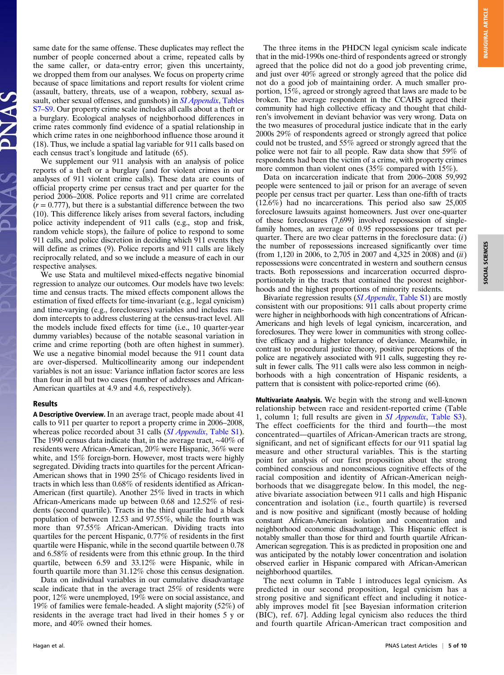same date for the same offense. These duplicates may reflect the number of people concerned about a crime, repeated calls by the same caller, or data-entry error; given this uncertainty, we dropped them from our analyses. We focus on property crime because of space limitations and report results for violent crime (assault, battery, threats, use of a weapon, robbery, sexual assault, other sexual offenses, and gunshots) in *[SI Appendix](http://www.pnas.org/lookup/suppl/doi:10.1073/pnas.1722210115/-/DCSupplemental)*, Tables [S7](http://www.pnas.org/lookup/suppl/doi:10.1073/pnas.1722210115/-/DCSupplemental)–[S9.](http://www.pnas.org/lookup/suppl/doi:10.1073/pnas.1722210115/-/DCSupplemental) Our property crime scale includes all calls about a theft or a burglary. Ecological analyses of neighborhood differences in crime rates commonly find evidence of a spatial relationship in which crime rates in one neighborhood influence those around it (18). Thus, we include a spatial lag variable for 911 calls based on each census tract's longitude and latitude (65).

We supplement our 911 analysis with an analysis of police reports of a theft or a burglary (and for violent crimes in our analyses of 911 violent crime calls). These data are counts of official property crime per census tract and per quarter for the period 2006–2008. Police reports and 911 crime are correlated  $(r = 0.777)$ , but there is a substantial difference between the two (10). This difference likely arises from several factors, including police activity independent of 911 calls (e.g., stop and frisk, random vehicle stops), the failure of police to respond to some 911 calls, and police discretion in deciding which 911 events they will define as crimes (9). Police reports and 911 calls are likely reciprocally related, and so we include a measure of each in our respective analyses.

We use Stata and multilevel mixed-effects negative binomial regression to analyze our outcomes. Our models have two levels: time and census tracts. The mixed effects component allows the estimation of fixed effects for time-invariant (e.g., legal cynicism) and time-varying (e.g., foreclosures) variables and includes random intercepts to address clustering at the census-tract level. All the models include fixed effects for time (i.e., 10 quarter-year dummy variables) because of the notable seasonal variation in crime and crime reporting (both are often highest in summer). We use a negative binomial model because the 911 count data are over-dispersed. Multicollinearity among our independent variables is not an issue: Variance inflation factor scores are less than four in all but two cases (number of addresses and African-American quartiles at 4.9 and 4.6, respectively).

#### Results

A Descriptive Overview. In an average tract, people made about 41 calls to 911 per quarter to report a property crime in 2006–2008, whereas police recorded about 31 calls (SI Appendix[, Table S1\)](http://www.pnas.org/lookup/suppl/doi:10.1073/pnas.1722210115/-/DCSupplemental). The 1990 census data indicate that, in the average tract, ∼40% of residents were African-American, 20% were Hispanic, 36% were white, and 15% foreign-born. However, most tracts were highly segregated. Dividing tracts into quartiles for the percent African-American shows that in 1990 25% of Chicago residents lived in tracts in which less than 0.68% of residents identified as African-American (first quartile). Another 25% lived in tracts in which African-Americans made up between 0.68 and 12.52% of residents (second quartile). Tracts in the third quartile had a black population of between 12.53 and 97.55%, while the fourth was more than 97.55% African-American. Dividing tracts into quartiles for the percent Hispanic, 0.77% of residents in the first quartile were Hispanic, while in the second quartile between 0.78 and 6.58% of residents were from this ethnic group. In the third quartile, between 6.59 and 33.12% were Hispanic, while in fourth quartile more than 31.12% chose this census designation.

Data on individual variables in our cumulative disadvantage scale indicate that in the average tract 25% of residents were poor, 12% were unemployed, 19% were on social assistance, and 19% of families were female-headed. A slight majority (52%) of residents in the average tract had lived in their homes 5 y or more, and 40% owned their homes.

The three items in the PHDCN legal cynicism scale indicate that in the mid-1990s one-third of respondents agreed or strongly agreed that the police did not do a good job preventing crime, and just over 40% agreed or strongly agreed that the police did not do a good job of maintaining order. A much smaller proportion, 15%, agreed or strongly agreed that laws are made to be broken. The average respondent in the CCAHS agreed their community had high collective efficacy and thought that children's involvement in deviant behavior was very wrong. Data on the two measures of procedural justice indicate that in the early 2000s 29% of respondents agreed or strongly agreed that police could not be trusted, and 55% agreed or strongly agreed that the police were not fair to all people. Raw data show that 59% of respondents had been the victim of a crime, with property crimes more common than violent ones (35% compared with 15%).

Data on incarceration indicate that from 2006–2008 59,992 people were sentenced to jail or prison for an average of seven people per census tract per quarter. Less than one-fifth of tracts  $(12.6\%)$  had no incarcerations. This period also saw 25,005 foreclosure lawsuits against homeowners. Just over one-quarter of these foreclosures (7,699) involved repossession of singlefamily homes, an average of 0.95 repossessions per tract per quarter. There are two clear patterns in the foreclosure data:  $(i)$ the number of repossessions increased significantly over time (from 1,120 in 2006, to 2,705 in 2007 and 4,325 in 2008) and (ii) repossessions were concentrated in western and southern census tracts. Both repossessions and incarceration occurred disproportionately in the tracts that contained the poorest neighborhoods and the highest proportions of minority residents.

Bivariate regression results (SI Appendix[, Table S1\)](http://www.pnas.org/lookup/suppl/doi:10.1073/pnas.1722210115/-/DCSupplemental) are mostly consistent with our propositions: 911 calls about property crime were higher in neighborhoods with high concentrations of African-Americans and high levels of legal cynicism, incarceration, and foreclosures. They were lower in communities with strong collective efficacy and a higher tolerance of deviance. Meanwhile, in contrast to procedural justice theory, positive perceptions of the police are negatively associated with 911 calls, suggesting they result in fewer calls. The 911 calls were also less common in neighborhoods with a high concentration of Hispanic residents, a pattern that is consistent with police-reported crime (66).

Multivariate Analysis. We begin with the strong and well-known relationship between race and resident-reported crime (Table 1, column 1; full results are given in SI Appendix[, Table S3](http://www.pnas.org/lookup/suppl/doi:10.1073/pnas.1722210115/-/DCSupplemental)). The effect coefficients for the third and fourth—the most concentrated—quartiles of African-American tracts are strong, significant, and net of significant effects for our 911 spatial lag measure and other structural variables. This is the starting point for analysis of our first proposition about the strong combined conscious and nonconscious cognitive effects of the racial composition and identity of African-American neighborhoods that we disaggregate below. In this model, the negative bivariate association between 911 calls and high Hispanic concentration and isolation (i.e., fourth quartile) is reversed and is now positive and significant (mostly because of holding constant African-American isolation and concentration and neighborhood economic disadvantage). This Hispanic effect is notably smaller than those for third and fourth quartile African-American segregation. This is as predicted in proposition one and was anticipated by the notably lower concentration and isolation observed earlier in Hispanic compared with African-American neighborhood quartiles.

The next column in Table 1 introduces legal cynicism. As predicted in our second proposition, legal cynicism has a strong positive and significant effect and including it noticeably improves model fit [see Bayesian information criterion (BIC), ref. 67]. Adding legal cynicism also reduces the third and fourth quartile African-American tract composition and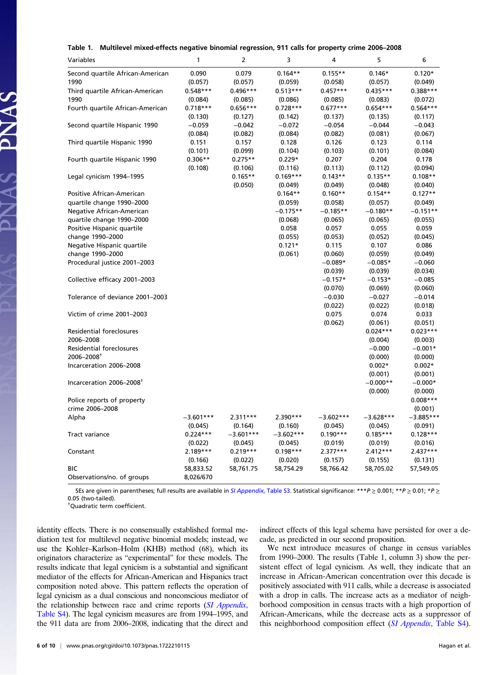|  |  | Table 1.    Multilevel mixed-effects negative binomial regression, 911 calls for property crime 2006–2008 |  |  |  |  |  |  |  |  |  |  |
|--|--|-----------------------------------------------------------------------------------------------------------|--|--|--|--|--|--|--|--|--|--|
|--|--|-----------------------------------------------------------------------------------------------------------|--|--|--|--|--|--|--|--|--|--|

| Variables                            | 1           | 2           | 3           | 4           | 5           | 6           |
|--------------------------------------|-------------|-------------|-------------|-------------|-------------|-------------|
| Second quartile African-American     | 0.090       | 0.079       | $0.164**$   | $0.155**$   | $0.146*$    | $0.120*$    |
| 1990                                 | (0.057)     | (0.057)     | (0.059)     | (0.058)     | (0.057)     | (0.049)     |
| Third quartile African-American      | $0.548***$  | $0.496***$  | $0.513***$  | $0.457***$  | $0.435***$  | 0.388***    |
| 1990                                 | (0.084)     | (0.085)     | (0.086)     | (0.085)     | (0.083)     | (0.072)     |
| Fourth quartile African-American     | $0.718***$  | $0.656***$  | $0.728***$  | $0.677***$  | $0.654***$  | $0.564***$  |
|                                      | (0.130)     | (0.127)     | (0.142)     | (0.137)     | (0.135)     | (0.117)     |
| Second quartile Hispanic 1990        | $-0.059$    | $-0.042$    | $-0.072$    | $-0.054$    | $-0.044$    | $-0.043$    |
|                                      | (0.084)     | (0.082)     | (0.084)     | (0.082)     | (0.081)     | (0.067)     |
| Third quartile Hispanic 1990         | 0.151       | 0.157       | 0.128       | 0.126       | 0.123       | 0.114       |
|                                      | (0.101)     | (0.099)     | (0.104)     | (0.103)     | (0.101)     | (0.084)     |
| Fourth quartile Hispanic 1990        | $0.306**$   | $0.275**$   | $0.229*$    | 0.207       | 0.204       | 0.178       |
|                                      | (0.108)     | (0.106)     | (0.116)     | (0.113)     | (0.112)     | (0.094)     |
| Legal cynicism 1994-1995             |             | $0.165**$   | $0.169***$  | $0.143**$   | $0.135**$   | $0.108**$   |
|                                      |             | (0.050)     | (0.049)     | (0.049)     | (0.048)     | (0.040)     |
| Positive African-American            |             |             | $0.164**$   | $0.160**$   | $0.154**$   | $0.127**$   |
| quartile change 1990-2000            |             |             | (0.059)     | (0.058)     | (0.057)     | (0.049)     |
| Negative African-American            |             |             | $-0.175**$  | $-0.185**$  | $-0.180**$  | $-0.151**$  |
| quartile change 1990-2000            |             |             | (0.068)     | (0.065)     | (0.065)     | (0.055)     |
| Positive Hispanic quartile           |             |             | 0.058       | 0.057       | 0.055       | 0.059       |
| change 1990-2000                     |             |             | (0.055)     | (0.053)     | (0.052)     | (0.045)     |
| Negative Hispanic quartile           |             |             | $0.121*$    | 0.115       | 0.107       | 0.086       |
| change 1990-2000                     |             |             | (0.061)     | (0.060)     | (0.059)     | (0.049)     |
| Procedural justice 2001-2003         |             |             |             | $-0.089*$   | $-0.085*$   | $-0.060$    |
|                                      |             |             |             | (0.039)     | (0.039)     | (0.034)     |
| Collective efficacy 2001-2003        |             |             |             | $-0.157*$   | $-0.153*$   | $-0.085$    |
|                                      |             |             |             | (0.070)     | (0.069)     | (0.060)     |
| Tolerance of deviance 2001-2003      |             |             |             | $-0.030$    | $-0.027$    | $-0.014$    |
|                                      |             |             |             | (0.022)     | (0.022)     | (0.018)     |
| Victim of crime 2001-2003            |             |             |             | 0.075       | 0.074       | 0.033       |
|                                      |             |             |             | (0.062)     | (0.061)     | (0.051)     |
| Residential foreclosures             |             |             |             |             | $0.024***$  | $0.023***$  |
| 2006-2008                            |             |             |             |             | (0.004)     | (0.003)     |
| Residential foreclosures             |             |             |             |             | $-0.000$    | $-0.001*$   |
| $2006 - 2008$ <sup>+</sup>           |             |             |             |             | (0.000)     | (0.000)     |
| Incarceration 2006-2008              |             |             |             |             | $0.002*$    | $0.002*$    |
|                                      |             |             |             |             | (0.001)     | (0.001)     |
| Incarceration 2006-2008 <sup>+</sup> |             |             |             |             | $-0.000**$  | $-0.000*$   |
|                                      |             |             |             |             | (0.000)     | (0.000)     |
| Police reports of property           |             |             |             |             |             | $0.008***$  |
| crime 2006-2008                      |             |             |             |             |             | (0.001)     |
| Alpha                                | $-3.601***$ | $2.311***$  | 2.390***    | $-3.602***$ | $-3.628***$ | $-3.885***$ |
|                                      | (0.045)     | (0.164)     | (0.160)     | (0.045)     | (0.045)     | (0.091)     |
| Tract variance                       | $0.224***$  | $-3.601***$ | $-3.602***$ | $0.190***$  | $0.185***$  | $0.128***$  |
|                                      | (0.022)     | (0.045)     | (0.045)     | (0.019)     | (0.019)     | (0.016)     |
| Constant                             | 2.189***    | $0.219***$  | $0.198***$  | $2.377***$  | 2.412***    | 2.437***    |
|                                      | (0.166)     | (0.022)     | (0.020)     | (0.157)     | (0.155)     | (0.131)     |
| BIC                                  | 58,833.52   | 58,761.75   | 58,754.29   | 58,766.42   | 58,705.02   | 57,549.05   |
| Observations/no. of groups           | 8,026/670   |             |             |             |             |             |

SEs are given in parentheses; full results are available in [SI Appendix](http://www.pnas.org/lookup/suppl/doi:10.1073/pnas.1722210115/-/DCSupplemental), Table S3. Statistical significance: \*\*\*P  $\geq$  0.001; \*\*P  $\geq$  0.01; \*P  $\geq$ 0.05 (two-tailed).

† Quadratic term coefficient.

SVNG SVNG

identity effects. There is no consensually established formal mediation test for multilevel negative binomial models; instead, we use the Kohler–Karlson–Holm (KHB) method (68), which its originators characterize as "experimental" for these models. The results indicate that legal cynicism is a substantial and significant mediator of the effects for African-American and Hispanics tract composition noted above. This pattern reflects the operation of legal cynicism as a dual conscious and nonconscious mediator of the relationship between race and crime reports ([SI Appendix](http://www.pnas.org/lookup/suppl/doi:10.1073/pnas.1722210115/-/DCSupplemental), [Table S4](http://www.pnas.org/lookup/suppl/doi:10.1073/pnas.1722210115/-/DCSupplemental)). The legal cynicism measures are from 1994–1995, and the 911 data are from 2006–2008, indicating that the direct and indirect effects of this legal schema have persisted for over a decade, as predicted in our second proposition.

We next introduce measures of change in census variables from 1990–2000. The results (Table 1, column 3) show the persistent effect of legal cynicism. As well, they indicate that an increase in African-American concentration over this decade is positively associated with 911 calls, while a decrease is associated with a drop in calls. The increase acts as a mediator of neighborhood composition in census tracts with a high proportion of African-Americans, while the decrease acts as a suppressor of this neighborhood composition effect (SI Appendix[, Table S4\)](http://www.pnas.org/lookup/suppl/doi:10.1073/pnas.1722210115/-/DCSupplemental).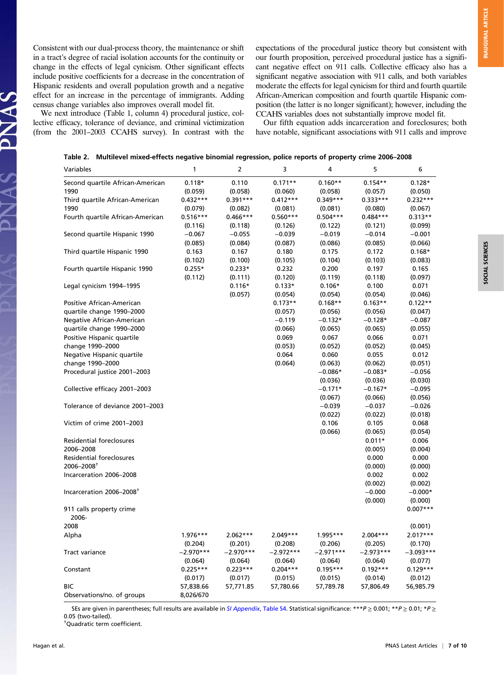Consistent with our dual-process theory, the maintenance or shift in a tract's degree of racial isolation accounts for the continuity or change in the effects of legal cynicism. Other significant effects include positive coefficients for a decrease in the concentration of Hispanic residents and overall population growth and a negative effect for an increase in the percentage of immigrants. Adding census change variables also improves overall model fit.

We next introduce (Table 1, column 4) procedural justice, collective efficacy, tolerance of deviance, and criminal victimization (from the 2001–2003 CCAHS survey). In contrast with the

ANA PNAS

expectations of the procedural justice theory but consistent with our fourth proposition, perceived procedural justice has a significant negative effect on 911 calls. Collective efficacy also has a significant negative association with 911 calls, and both variables moderate the effects for legal cynicism for third and fourth quartile African-American composition and fourth quartile Hispanic composition (the latter is no longer significant); however, including the CCAHS variables does not substantially improve model fit.

Our fifth equation adds incarceration and foreclosures; both have notable, significant associations with 911 calls and improve

|  | Table 2. Multilevel mixed-effects negative binomial regression, police reports of property crime 2006-2008 |  |  |  |  |
|--|------------------------------------------------------------------------------------------------------------|--|--|--|--|
|--|------------------------------------------------------------------------------------------------------------|--|--|--|--|

| Variables                            | 1           | 2           | 3           | 4           | 5           | 6           |
|--------------------------------------|-------------|-------------|-------------|-------------|-------------|-------------|
| Second quartile African-American     | $0.118*$    | 0.110       | $0.171**$   | $0.160**$   | $0.154**$   | $0.128*$    |
| 1990                                 | (0.059)     | (0.058)     | (0.060)     | (0.058)     | (0.057)     | (0.050)     |
| Third quartile African-American      | $0.432***$  | $0.391***$  | $0.412***$  | $0.349***$  | $0.333***$  | $0.232***$  |
| 1990                                 | (0.079)     | (0.082)     | (0.081)     | (0.081)     | (0.080)     | (0.067)     |
| Fourth quartile African-American     | $0.516***$  | $0.466***$  | $0.560***$  | $0.504***$  | $0.484***$  | $0.313**$   |
|                                      | (0.116)     | (0.118)     | (0.126)     | (0.122)     | (0.121)     | (0.099)     |
| Second quartile Hispanic 1990        | $-0.067$    | $-0.055$    | $-0.039$    | $-0.019$    | $-0.014$    | $-0.001$    |
|                                      | (0.085)     | (0.084)     | (0.087)     | (0.086)     | (0.085)     | (0.066)     |
| Third quartile Hispanic 1990         | 0.163       | 0.167       | 0.180       | 0.175       | 0.172       | $0.168*$    |
|                                      | (0.102)     | (0.100)     | (0.105)     | (0.104)     | (0.103)     | (0.083)     |
| Fourth quartile Hispanic 1990        | $0.255*$    | $0.233*$    | 0.232       | 0.200       | 0.197       | 0.165       |
|                                      | (0.112)     | (0.111)     | (0.120)     | (0.119)     | (0.118)     | (0.097)     |
| Legal cynicism 1994-1995             |             | $0.116*$    | $0.133*$    | $0.106*$    | 0.100       | 0.071       |
|                                      |             | (0.057)     | (0.054)     | (0.054)     | (0.054)     | (0.046)     |
| Positive African-American            |             |             | $0.173**$   | $0.168**$   | $0.163**$   | $0.122**$   |
| quartile change 1990-2000            |             |             | (0.057)     | (0.056)     | (0.056)     | (0.047)     |
| Negative African-American            |             |             | $-0.119$    | $-0.132*$   | $-0.128*$   | $-0.087$    |
| quartile change 1990-2000            |             |             | (0.066)     | (0.065)     | (0.065)     | (0.055)     |
| Positive Hispanic quartile           |             |             | 0.069       | 0.067       | 0.066       | 0.071       |
| change 1990-2000                     |             |             | (0.053)     | (0.052)     | (0.052)     | (0.045)     |
| Negative Hispanic quartile           |             |             | 0.064       | 0.060       | 0.055       | 0.012       |
| change 1990-2000                     |             |             | (0.064)     | (0.063)     | (0.062)     | (0.051)     |
| Procedural justice 2001-2003         |             |             |             | $-0.086*$   | $-0.083*$   | $-0.056$    |
|                                      |             |             |             | (0.036)     | (0.036)     | (0.030)     |
| Collective efficacy 2001-2003        |             |             |             | $-0.171*$   | $-0.167*$   | $-0.095$    |
|                                      |             |             |             | (0.067)     | (0.066)     | (0.056)     |
| Tolerance of deviance 2001-2003      |             |             |             | $-0.039$    | $-0.037$    | $-0.026$    |
|                                      |             |             |             | (0.022)     | (0.022)     | (0.018)     |
| Victim of crime 2001-2003            |             |             |             | 0.106       | 0.105       | 0.068       |
|                                      |             |             |             | (0.066)     | (0.065)     | (0.054)     |
| Residential foreclosures             |             |             |             |             | $0.011*$    | 0.006       |
| 2006-2008                            |             |             |             |             | (0.005)     | (0.004)     |
| Residential foreclosures             |             |             |             |             | 0.000       | 0.000       |
| $2006 - 2008$ <sup>+</sup>           |             |             |             |             | (0.000)     | (0.000)     |
| Incarceration 2006-2008              |             |             |             |             | 0.002       | 0.002       |
|                                      |             |             |             |             | (0.002)     | (0.002)     |
| Incarceration 2006-2008 <sup>+</sup> |             |             |             |             | $-0.000$    | $-0.000*$   |
|                                      |             |             |             |             | (0.000)     | (0.000)     |
| 911 calls property crime<br>2006-    |             |             |             |             |             | $0.007***$  |
| 2008                                 |             |             |             |             |             | (0.001)     |
| Alpha                                | $1.976***$  | $2.062***$  | $2.049***$  | $1.995***$  | $2.004***$  | $2.017***$  |
|                                      | (0.204)     | (0.201)     | (0.208)     | (0.206)     | (0.205)     | (0.170)     |
| Tract variance                       | $-2.970***$ | $-2.970***$ | $-2.972***$ | $-2.971***$ | $-2.973***$ | $-3.093***$ |
|                                      | (0.064)     | (0.064)     | (0.064)     | (0.064)     | (0.064)     | (0.077)     |
| Constant                             | $0.225***$  | $0.223***$  | $0.204***$  | $0.195***$  | $0.192***$  | $0.129***$  |
|                                      | (0.017)     | (0.017)     | (0.015)     | (0.015)     | (0.014)     | (0.012)     |
| BIC                                  | 57,838.66   | 57,771.85   | 57,780.66   | 57,789.78   | 57,806.49   | 56,985.79   |
| Observations/no. of groups           | 8,026/670   |             |             |             |             |             |
|                                      |             |             |             |             |             |             |

SEs are given in parentheses; full results are available in [SI Appendix](http://www.pnas.org/lookup/suppl/doi:10.1073/pnas.1722210115/-/DCSupplemental), Table S4. Statistical significance: \*\*\*P ≥ 0.001; \*\*P ≥ 0.01; \*P ≥ 0.05 (two-tailed).

† Quadratic term coefficient.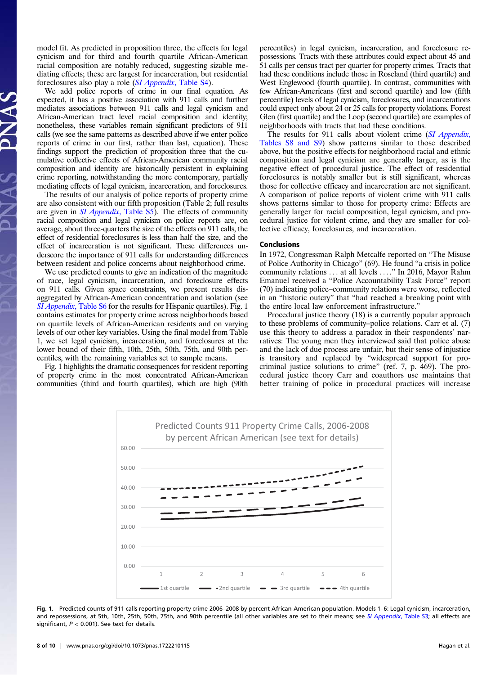model fit. As predicted in proposition three, the effects for legal cynicism and for third and fourth quartile African-American racial composition are notably reduced, suggesting sizable mediating effects; these are largest for incarceration, but residential foreclosures also play a role (SI Appendix[, Table S4\)](http://www.pnas.org/lookup/suppl/doi:10.1073/pnas.1722210115/-/DCSupplemental).

We add police reports of crime in our final equation. As expected, it has a positive association with 911 calls and further mediates associations between 911 calls and legal cynicism and African-American tract level racial composition and identity; nonetheless, these variables remain significant predictors of 911 calls (we see the same patterns as described above if we enter police reports of crime in our first, rather than last, equation). These findings support the prediction of proposition three that the cumulative collective effects of African-American community racial composition and identity are historically persistent in explaining crime reporting, notwithstanding the more contemporary, partially mediating effects of legal cynicism, incarceration, and foreclosures.

The results of our analysis of police reports of property crime are also consistent with our fifth proposition (Table 2; full results are given in *SI Appendix*[, Table S5\)](http://www.pnas.org/lookup/suppl/doi:10.1073/pnas.1722210115/-/DCSupplemental). The effects of community racial composition and legal cynicism on police reports are, on average, about three-quarters the size of the effects on 911 calls, the effect of residential foreclosures is less than half the size, and the effect of incarceration is not significant. These differences underscore the importance of 911 calls for understanding differences between resident and police concerns about neighborhood crime.

We use predicted counts to give an indication of the magnitude of race, legal cynicism, incarceration, and foreclosure effects on 911 calls. Given space constraints, we present results disaggregated by African-American concentration and isolation (see SI Appendix[, Table S6](http://www.pnas.org/lookup/suppl/doi:10.1073/pnas.1722210115/-/DCSupplemental) for the results for Hispanic quartiles). Fig. 1 contains estimates for property crime across neighborhoods based on quartile levels of African-American residents and on varying levels of our other key variables. Using the final model from Table 1, we set legal cynicism, incarceration, and foreclosures at the lower bound of their fifth, 10th, 25th, 50th, 75th, and 90th percentiles, with the remaining variables set to sample means.

Fig. 1 highlights the dramatic consequences for resident reporting of property crime in the most concentrated African-American communities (third and fourth quartiles), which are high (90th percentiles) in legal cynicism, incarceration, and foreclosure repossessions. Tracts with these attributes could expect about 45 and 51 calls per census tract per quarter for property crimes. Tracts that had these conditions include those in Roseland (third quartile) and West Englewood (fourth quartile). In contrast, communities with few African-Americans (first and second quartile) and low (fifth percentile) levels of legal cynicism, foreclosures, and incarcerations could expect only about 24 or 25 calls for property violations. Forest Glen (first quartile) and the Loop (second quartile) are examples of neighborhoods with tracts that had these conditions.

The results for 911 calls about violent crime ([SI Appendix](http://www.pnas.org/lookup/suppl/doi:10.1073/pnas.1722210115/-/DCSupplemental), [Tables S8 and S9\)](http://www.pnas.org/lookup/suppl/doi:10.1073/pnas.1722210115/-/DCSupplemental) show patterns similar to those described above, but the positive effects for neighborhood racial and ethnic composition and legal cynicism are generally larger, as is the negative effect of procedural justice. The effect of residential foreclosures is notably smaller but is still significant, whereas those for collective efficacy and incarceration are not significant. A comparison of police reports of violent crime with 911 calls shows patterns similar to those for property crime: Effects are generally larger for racial composition, legal cynicism, and procedural justice for violent crime, and they are smaller for collective efficacy, foreclosures, and incarceration.

#### Conclusions

In 1972, Congressman Ralph Metcalfe reported on "The Misuse of Police Authority in Chicago" (69). He found "a crisis in police community relations ... at all levels ... ." In 2016, Mayor Rahm Emanuel received a "Police Accountability Task Force" report (70) indicating police–community relations were worse, reflected in an "historic outcry" that "had reached a breaking point with the entire local law enforcement infrastructure."

Procedural justice theory (18) is a currently popular approach to these problems of community–police relations. Carr et al. (7) use this theory to address a paradox in their respondents' narratives: The young men they interviewed said that police abuse and the lack of due process are unfair, but their sense of injustice is transitory and replaced by "widespread support for procriminal justice solutions to crime" (ref. 7, p. 469). The procedural justice theory Carr and coauthors use maintains that better training of police in procedural practices will increase



Fig. 1. Predicted counts of 911 calls reporting property crime 2006–2008 by percent African-American population. Models 1–6: Legal cynicism, incarceration, and repossessions, at 5th, 10th, 25th, 50th, 75th, and 90th percentile (all other variables are set to their means; see [SI Appendix](http://www.pnas.org/lookup/suppl/doi:10.1073/pnas.1722210115/-/DCSupplemental), Table S3; all effects are significant,  $P < 0.001$ ). See text for details.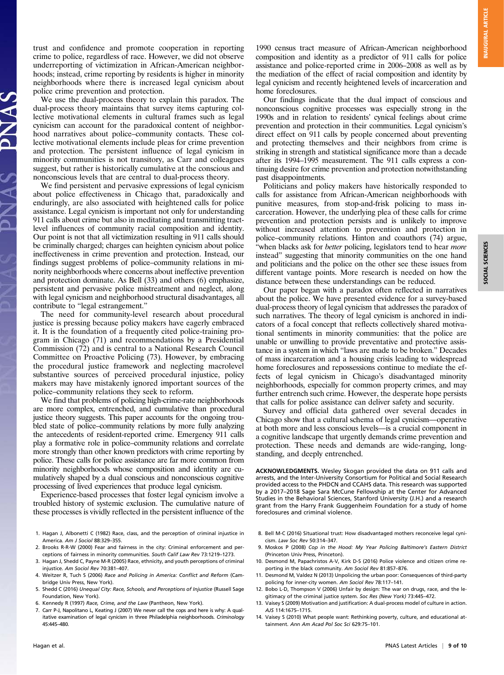trust and confidence and promote cooperation in reporting crime to police, regardless of race. However, we did not observe underreporting of victimization in African-American neighborhoods; instead, crime reporting by residents is higher in minority neighborhoods where there is increased legal cynicism about police crime prevention and protection.

We use the dual-process theory to explain this paradox. The dual-process theory maintains that survey items capturing collective motivational elements in cultural frames such as legal cynicism can account for the paradoxical content of neighborhood narratives about police–community contacts. These collective motivational elements include pleas for crime prevention and protection. The persistent influence of legal cynicism in minority communities is not transitory, as Carr and colleagues suggest, but rather is historically cumulative at the conscious and nonconscious levels that are central to dual-process theory.

We find persistent and pervasive expressions of legal cynicism about police effectiveness in Chicago that, paradoxically and enduringly, are also associated with heightened calls for police assistance. Legal cynicism is important not only for understanding 911 calls about crime but also in meditating and transmitting tractlevel influences of community racial composition and identity. Our point is not that all victimization resulting in 911 calls should be criminally charged; charges can heighten cynicism about police ineffectiveness in crime prevention and protection. Instead, our findings suggest problems of police–community relations in minority neighborhoods where concerns about ineffective prevention and protection dominate. As Bell (33) and others (6) emphasize, persistent and pervasive police mistreatment and neglect, along with legal cynicism and neighborhood structural disadvantages, all contribute to "legal estrangement."

The need for community-level research about procedural justice is pressing because policy makers have eagerly embraced it. It is the foundation of a frequently cited police-training program in Chicago (71) and recommendations by a Presidential Commission (72) and is central to a National Research Council Committee on Proactive Policing (73). However, by embracing the procedural justice framework and neglecting macrolevel substantive sources of perceived procedural injustice, policy makers may have mistakenly ignored important sources of the police–community relations they seek to reform.

We find that problems of policing high-crime-rate neighborhoods are more complex, entrenched, and cumulative than procedural justice theory suggests. This paper accounts for the ongoing troubled state of police–community relations by more fully analyzing the antecedents of resident-reported crime. Emergency 911 calls play a formative role in police–community relations and correlate more strongly than other known predictors with crime reporting by police. These calls for police assistance are far more common from minority neighborhoods whose composition and identity are cumulatively shaped by a dual conscious and nonconscious cognitive processing of lived experiences that produce legal cynicism.

Experience-based processes that foster legal cynicism involve a troubled history of systemic exclusion. The cumulative nature of these processes is vividly reflected in the persistent influence of the

- 1. Hagan J, Albonetti C (1982) Race, class, and the perception of criminal injustice in America. Am J Sociol 88:329–355.
- 2. Brooks R-R-W (2000) Fear and fairness in the city: Criminal enforcement and perceptions of fairness in minority communities. South Calif Law Rev 73:1219–1273.
- 3. Hagan J, Shedd C, Payne M-R (2005) Race, ethnicity, and youth perceptions of criminal injustice. Am Sociol Rev 70:381–407.
- 4. Weitzer R, Tuch S (2006) Race and Policing in America: Conflict and Reform (Cambridge Univ Press, New York).
- 5. Shedd C (2016) Unequal City: Race, Schools, and Perceptions of Injustice (Russell Sage Foundation, New York).
- 6. Kennedy R (1997) Race, Crime, and the Law (Pantheon, New York).
- 7. Carr P-J, Napolitano L, Keating J (2007) We never call the cops and here is why: A qualitative examination of legal cynicism in three Philadelphia neighborhoods. Criminology 45:445–480.

1990 census tract measure of African-American neighborhood composition and identity as a predictor of 911 calls for police assistance and police-reported crime in 2006–2008 as well as by the mediation of the effect of racial composition and identity by legal cynicism and recently heightened levels of incarceration and home foreclosures.

Our findings indicate that the dual impact of conscious and nonconscious cognitive processes was especially strong in the 1990s and in relation to residents' cynical feelings about crime prevention and protection in their communities. Legal cynicism's direct effect on 911 calls by people concerned about preventing and protecting themselves and their neighbors from crime is striking in strength and statistical significance more than a decade after its 1994–1995 measurement. The 911 calls express a continuing desire for crime prevention and protection notwithstanding past disappointments.

Politicians and policy makers have historically responded to calls for assistance from African-American neighborhoods with punitive measures, from stop-and-frisk policing to mass incarceration. However, the underlying plea of these calls for crime prevention and protection persists and is unlikely to improve without increased attention to prevention and protection in police–community relations. Hinton and coauthors (74) argue, "when blacks ask for *better* policing, legislators tend to hear *more* instead" suggesting that minority communities on the one hand and politicians and the police on the other see these issues from different vantage points. More research is needed on how the distance between these understandings can be reduced.

Our paper began with a paradox often reflected in narratives about the police. We have presented evidence for a survey-based dual-process theory of legal cynicism that addresses the paradox of such narratives. The theory of legal cynicism is anchored in indicators of a focal concept that reflects collectively shared motivational sentiments in minority communities: that the police are unable or unwilling to provide preventative and protective assistance in a system in which "laws are made to be broken." Decades of mass incarceration and a housing crisis leading to widespread home foreclosures and repossessions continue to mediate the effects of legal cynicism in Chicago's disadvantaged minority neighborhoods, especially for common property crimes, and may further entrench such crime. However, the desperate hope persists that calls for police assistance can deliver safety and security.

Survey and official data gathered over several decades in Chicago show that a cultural schema of legal cynicism—operative at both more and less conscious levels—is a crucial component in a cognitive landscape that urgently demands crime prevention and protection. These needs and demands are wide-ranging, longstanding, and deeply entrenched.

ACKNOWLEDGMENTS. Wesley Skogan provided the data on 911 calls and arrests, and the Inter-University Consortium for Political and Social Research provided access to the PHDCN and CCAHS data. This research was supported by a 2017–2018 Sage Sara McCune Fellowship at the Center for Advanced Studies in the Behavioral Sciences, Stanford University (J.H.) and a research grant from the Harry Frank Guggenheim Foundation for a study of home foreclosures and criminal violence.

- 8. Bell M-C (2016) Situational trust: How disadvantaged mothers reconceive legal cynicism. Law Soc Rev 50:314–347.
- 9. Moskos P (2008) Cop in the Hood: My Year Policing Baltimore's Eastern District (Princeton Univ Press, Princeton).
- 10. Desmond M, Papachristos A-V, Kirk D-S (2016) Police violence and citizen crime reporting in the black community. Am Sociol Rev 81:857–876.
- 11. Desmond M, Valdez N (2013) Unpolicing the urban poor: Consequences of third-party policing for inner-city women. Am Sociol Rev 78:117–141.
- 12. Bobo L-D, Thompson V (2006) Unfair by design: The war on drugs, race, and the legitimacy of the criminal justice system. Soc Res (New York) 73:445–472.
- 13. Vaisey S (2009) Motivation and justification: A dual-process model of culture in action. AJS 114:1675–1715.
- 14. Vaisey S (2010) What people want: Rethinking poverty, culture, and educational attainment. Ann Am Acad Pol Soc Sci 629:75–101.

**SOCIAL SCIENCES**